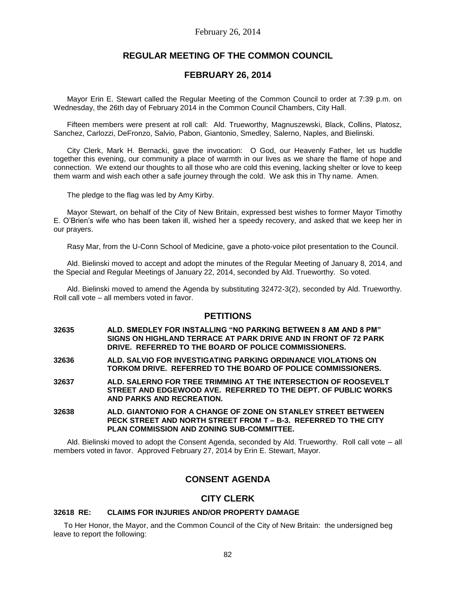# **REGULAR MEETING OF THE COMMON COUNCIL**

# **FEBRUARY 26, 2014**

Mayor Erin E. Stewart called the Regular Meeting of the Common Council to order at 7:39 p.m. on Wednesday, the 26th day of February 2014 in the Common Council Chambers, City Hall.

Fifteen members were present at roll call: Ald. Trueworthy, Magnuszewski, Black, Collins, Platosz, Sanchez, Carlozzi, DeFronzo, Salvio, Pabon, Giantonio, Smedley, Salerno, Naples, and Bielinski.

City Clerk, Mark H. Bernacki, gave the invocation: O God, our Heavenly Father, let us huddle together this evening, our community a place of warmth in our lives as we share the flame of hope and connection. We extend our thoughts to all those who are cold this evening, lacking shelter or love to keep them warm and wish each other a safe journey through the cold. We ask this in Thy name. Amen.

The pledge to the flag was led by Amy Kirby.

Mayor Stewart, on behalf of the City of New Britain, expressed best wishes to former Mayor Timothy E. O'Brien's wife who has been taken ill, wished her a speedy recovery, and asked that we keep her in our prayers.

Rasy Mar, from the U-Conn School of Medicine, gave a photo-voice pilot presentation to the Council.

Ald. Bielinski moved to accept and adopt the minutes of the Regular Meeting of January 8, 2014, and the Special and Regular Meetings of January 22, 2014, seconded by Ald. Trueworthy. So voted.

Ald. Bielinski moved to amend the Agenda by substituting 32472-3(2), seconded by Ald. Trueworthy. Roll call vote – all members voted in favor.

# **PETITIONS**

- **32635 ALD. SMEDLEY FOR INSTALLING "NO PARKING BETWEEN 8 AM AND 8 PM" SIGNS ON HIGHLAND TERRACE AT PARK DRIVE AND IN FRONT OF 72 PARK DRIVE. REFERRED TO THE BOARD OF POLICE COMMISSIONERS.**
- **32636 ALD. SALVIO FOR INVESTIGATING PARKING ORDINANCE VIOLATIONS ON TORKOM DRIVE. REFERRED TO THE BOARD OF POLICE COMMISSIONERS.**
- **32637 ALD. SALERNO FOR TREE TRIMMING AT THE INTERSECTION OF ROOSEVELT STREET AND EDGEWOOD AVE. REFERRED TO THE DEPT. OF PUBLIC WORKS AND PARKS AND RECREATION.**
- **32638 ALD. GIANTONIO FOR A CHANGE OF ZONE ON STANLEY STREET BETWEEN PECK STREET AND NORTH STREET FROM T – B-3. REFERRED TO THE CITY PLAN COMMISSION AND ZONING SUB-COMMITTEE.**

Ald. Bielinski moved to adopt the Consent Agenda, seconded by Ald. Trueworthy. Roll call vote – all members voted in favor. Approved February 27, 2014 by Erin E. Stewart, Mayor.

# **CONSENT AGENDA**

# **CITY CLERK**

# **32618 RE: CLAIMS FOR INJURIES AND/OR PROPERTY DAMAGE**

 To Her Honor, the Mayor, and the Common Council of the City of New Britain: the undersigned beg leave to report the following: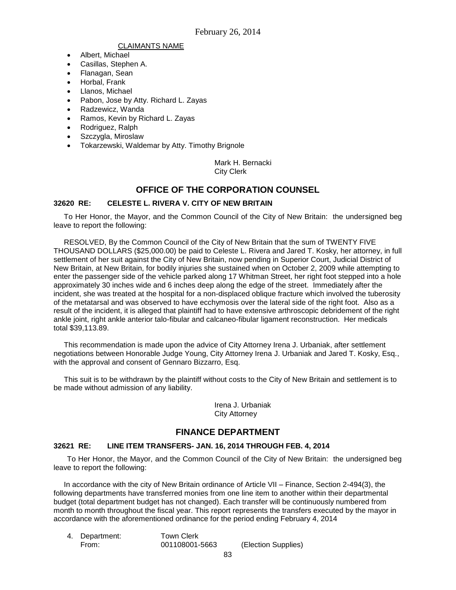#### CLAIMANTS NAME

- Albert, Michael
- Casillas, Stephen A.
- Flanagan, Sean
- Horbal, Frank
- Llanos, Michael
- Pabon, Jose by Atty. Richard L. Zayas
- Radzewicz, Wanda
- Ramos, Kevin by Richard L. Zayas
- Rodriguez, Ralph
- Szczygla, Miroslaw
- Tokarzewski, Waldemar by Atty. Timothy Brignole

Mark H. Bernacki City Clerk

# **OFFICE OF THE CORPORATION COUNSEL**

### **32620 RE: CELESTE L. RIVERA V. CITY OF NEW BRITAIN**

 To Her Honor, the Mayor, and the Common Council of the City of New Britain: the undersigned beg leave to report the following:

 RESOLVED, By the Common Council of the City of New Britain that the sum of TWENTY FIVE THOUSAND DOLLARS (\$25,000.00) be paid to Celeste L. Rivera and Jared T. Kosky, her attorney, in full settlement of her suit against the City of New Britain, now pending in Superior Court, Judicial District of New Britain, at New Britain, for bodily injuries she sustained when on October 2, 2009 while attempting to enter the passenger side of the vehicle parked along 17 Whitman Street, her right foot stepped into a hole approximately 30 inches wide and 6 inches deep along the edge of the street. Immediately after the incident, she was treated at the hospital for a non-displaced oblique fracture which involved the tuberosity of the metatarsal and was observed to have ecchymosis over the lateral side of the right foot. Also as a result of the incident, it is alleged that plaintiff had to have extensive arthroscopic debridement of the right ankle joint, right ankle anterior talo-fibular and calcaneo-fibular ligament reconstruction. Her medicals total \$39,113.89.

 This recommendation is made upon the advice of City Attorney Irena J. Urbaniak, after settlement negotiations between Honorable Judge Young, City Attorney Irena J. Urbaniak and Jared T. Kosky, Esq., with the approval and consent of Gennaro Bizzarro, Esq.

 This suit is to be withdrawn by the plaintiff without costs to the City of New Britain and settlement is to be made without admission of any liability.

> Irena J. Urbaniak City Attorney

# **FINANCE DEPARTMENT**

### **32621 RE: LINE ITEM TRANSFERS- JAN. 16, 2014 THROUGH FEB. 4, 2014**

To Her Honor, the Mayor, and the Common Council of the City of New Britain: the undersigned beg leave to report the following:

 In accordance with the city of New Britain ordinance of Article VII – Finance, Section 2-494(3), the following departments have transferred monies from one line item to another within their departmental budget (total department budget has not changed). Each transfer will be continuously numbered from month to month throughout the fiscal year. This report represents the transfers executed by the mayor in accordance with the aforementioned ordinance for the period ending February 4, 2014

| <b>Town Clerk</b><br>4. Department: |                |                     |
|-------------------------------------|----------------|---------------------|
| From:                               | 001108001-5663 | (Election Supplies) |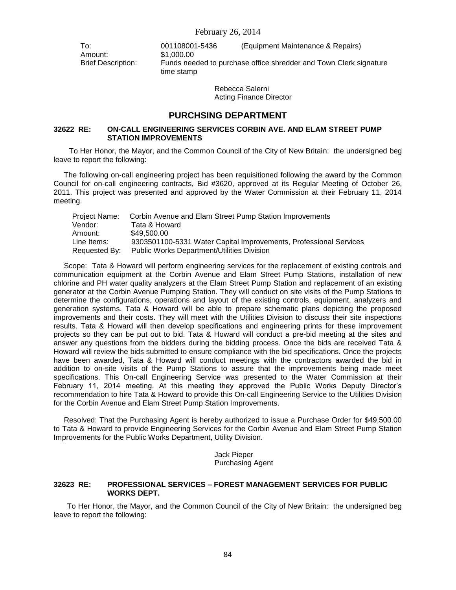Amount: \$1,000.00

To: 001108001-5436 (Equipment Maintenance & Repairs) Brief Description: Funds needed to purchase office shredder and Town Clerk signature time stamp

> Rebecca Salerni Acting Finance Director

# **PURCHSING DEPARTMENT**

## **32622 RE: ON-CALL ENGINEERING SERVICES CORBIN AVE. AND ELAM STREET PUMP STATION IMPROVEMENTS**

To Her Honor, the Mayor, and the Common Council of the City of New Britain: the undersigned beg leave to report the following:

 The following on-call engineering project has been requisitioned following the award by the Common Council for on-call engineering contracts, Bid #3620, approved at its Regular Meeting of October 26, 2011. This project was presented and approved by the Water Commission at their February 11, 2014 meeting.

| <b>Project Name:</b> | Corbin Avenue and Elam Street Pump Station Improvements           |
|----------------------|-------------------------------------------------------------------|
| Vendor:              | Tata & Howard                                                     |
| Amount:              | \$49,500,00                                                       |
| Line Items:          | 9303501100-5331 Water Capital Improvements, Professional Services |
| Requested By:        | <b>Public Works Department/Utilities Division</b>                 |

 Scope: Tata & Howard will perform engineering services for the replacement of existing controls and communication equipment at the Corbin Avenue and Elam Street Pump Stations, installation of new chlorine and PH water quality analyzers at the Elam Street Pump Station and replacement of an existing generator at the Corbin Avenue Pumping Station. They will conduct on site visits of the Pump Stations to determine the configurations, operations and layout of the existing controls, equipment, analyzers and generation systems. Tata & Howard will be able to prepare schematic plans depicting the proposed improvements and their costs. They will meet with the Utilities Division to discuss their site inspections results. Tata & Howard will then develop specifications and engineering prints for these improvement projects so they can be put out to bid. Tata & Howard will conduct a pre-bid meeting at the sites and answer any questions from the bidders during the bidding process. Once the bids are received Tata & Howard will review the bids submitted to ensure compliance with the bid specifications. Once the projects have been awarded, Tata & Howard will conduct meetings with the contractors awarded the bid in addition to on-site visits of the Pump Stations to assure that the improvements being made meet specifications. This On-call Engineering Service was presented to the Water Commission at their February 11, 2014 meeting. At this meeting they approved the Public Works Deputy Director's recommendation to hire Tata & Howard to provide this On-call Engineering Service to the Utilities Division for the Corbin Avenue and Elam Street Pump Station Improvements.

 Resolved: That the Purchasing Agent is hereby authorized to issue a Purchase Order for \$49,500.00 to Tata & Howard to provide Engineering Services for the Corbin Avenue and Elam Street Pump Station Improvements for the Public Works Department, Utility Division.

> Jack Pieper Purchasing Agent

#### **32623 RE: PROFESSIONAL SERVICES – FOREST MANAGEMENT SERVICES FOR PUBLIC WORKS DEPT.**

To Her Honor, the Mayor, and the Common Council of the City of New Britain: the undersigned beg leave to report the following: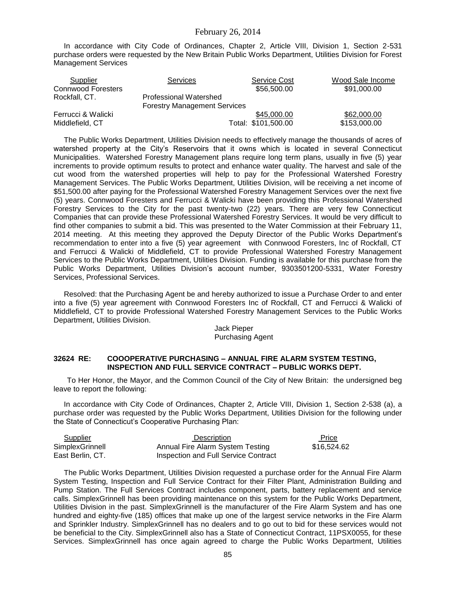In accordance with City Code of Ordinances, Chapter 2, Article VIII, Division 1, Section 2-531 purchase orders were requested by the New Britain Public Works Department, Utilities Division for Forest Management Services

| Supplier                  | <b>Services</b>                                                      | <b>Service Cost</b> | Wood Sale Income |
|---------------------------|----------------------------------------------------------------------|---------------------|------------------|
| <b>Connwood Foresters</b> |                                                                      | \$56,500.00         | \$91,000.00      |
| Rockfall, CT.             | <b>Professional Watershed</b><br><b>Forestry Management Services</b> |                     |                  |
|                           |                                                                      |                     |                  |
| Ferrucci & Walicki        |                                                                      | \$45,000.00         | \$62,000.00      |
| Middlefield, CT           |                                                                      | Total: \$101,500.00 | \$153,000.00     |

 The Public Works Department, Utilities Division needs to effectively manage the thousands of acres of watershed property at the City's Reservoirs that it owns which is located in several Connecticut Municipalities. Watershed Forestry Management plans require long term plans, usually in five (5) year increments to provide optimum results to protect and enhance water quality. The harvest and sale of the cut wood from the watershed properties will help to pay for the Professional Watershed Forestry Management Services. The Public Works Department, Utilities Division, will be receiving a net income of \$51,500.00 after paying for the Professional Watershed Forestry Management Services over the next five (5) years. Connwood Foresters and Ferrucci & Walicki have been providing this Professional Watershed Forestry Services to the City for the past twenty-two (22) years. There are very few Connecticut Companies that can provide these Professional Watershed Forestry Services. It would be very difficult to find other companies to submit a bid. This was presented to the Water Commission at their February 11, 2014 meeting. At this meeting they approved the Deputy Director of the Public Works Department's recommendation to enter into a five (5) year agreement with Connwood Foresters, Inc of Rockfall, CT and Ferrucci & Walicki of Middlefield, CT to provide Professional Watershed Forestry Management Services to the Public Works Department, Utilities Division. Funding is available for this purchase from the Public Works Department, Utilities Division's account number, 9303501200-5331, Water Forestry Services, Professional Services.

 Resolved: that the Purchasing Agent be and hereby authorized to issue a Purchase Order to and enter into a five (5) year agreement with Connwood Foresters Inc of Rockfall, CT and Ferrucci & Walicki of Middlefield, CT to provide Professional Watershed Forestry Management Services to the Public Works Department, Utilities Division.

#### Jack Pieper Purchasing Agent

#### **32624 RE: COOOPERATIVE PURCHASING – ANNUAL FIRE ALARM SYSTEM TESTING, INSPECTION AND FULL SERVICE CONTRACT – PUBLIC WORKS DEPT.**

To Her Honor, the Mayor, and the Common Council of the City of New Britain: the undersigned beg leave to report the following:

 In accordance with City Code of Ordinances, Chapter 2, Article VIII, Division 1, Section 2-538 (a), a purchase order was requested by the Public Works Department, Utilities Division for the following under the State of Connecticut's Cooperative Purchasing Plan:

| Supplier         | Description                          | Price       |
|------------------|--------------------------------------|-------------|
| SimplexGrinnell  | Annual Fire Alarm System Testing     | \$16.524.62 |
| East Berlin, CT. | Inspection and Full Service Contract |             |

 The Public Works Department, Utilities Division requested a purchase order for the Annual Fire Alarm System Testing, Inspection and Full Service Contract for their Filter Plant, Administration Building and Pump Station. The Full Services Contract includes component, parts, battery replacement and service calls. SimplexGrinnell has been providing maintenance on this system for the Public Works Department, Utilities Division in the past. SimplexGrinnell is the manufacturer of the Fire Alarm System and has one hundred and eighty-five (185) offices that make up one of the largest service networks in the Fire Alarm and Sprinkler Industry. SimplexGrinnell has no dealers and to go out to bid for these services would not be beneficial to the City. SimplexGrinnell also has a State of Connecticut Contract, 11PSX0055, for these Services. SimplexGrinnell has once again agreed to charge the Public Works Department, Utilities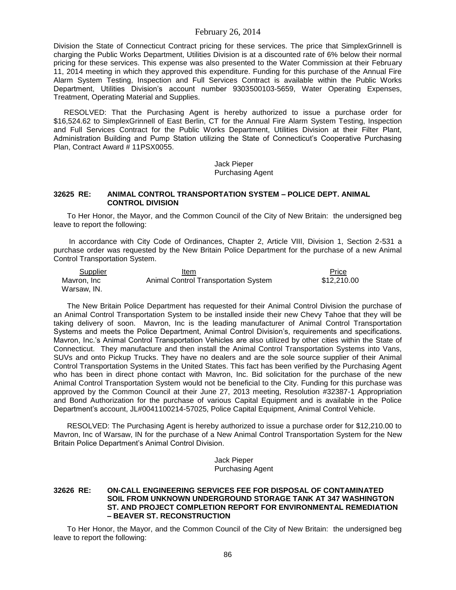Division the State of Connecticut Contract pricing for these services. The price that SimplexGrinnell is charging the Public Works Department, Utilities Division is at a discounted rate of 6% below their normal pricing for these services. This expense was also presented to the Water Commission at their February 11, 2014 meeting in which they approved this expenditure. Funding for this purchase of the Annual Fire Alarm System Testing, Inspection and Full Services Contract is available within the Public Works Department, Utilities Division's account number 9303500103-5659, Water Operating Expenses, Treatment, Operating Material and Supplies.

 RESOLVED: That the Purchasing Agent is hereby authorized to issue a purchase order for \$16,524.62 to SimplexGrinnell of East Berlin, CT for the Annual Fire Alarm System Testing, Inspection and Full Services Contract for the Public Works Department, Utilities Division at their Filter Plant, Administration Building and Pump Station utilizing the State of Connecticut's Cooperative Purchasing Plan, Contract Award # 11PSX0055.

> Jack Pieper Purchasing Agent

## **32625 RE: ANIMAL CONTROL TRANSPORTATION SYSTEM – POLICE DEPT. ANIMAL CONTROL DIVISION**

To Her Honor, the Mayor, and the Common Council of the City of New Britain: the undersigned beg leave to report the following:

In accordance with City Code of Ordinances, Chapter 2, Article VIII, Division 1, Section 2-531 a purchase order was requested by the New Britain Police Department for the purchase of a new Animal Control Transportation System.

| Supplier    | Item                                 | Price       |
|-------------|--------------------------------------|-------------|
| Mavron, Inc | Animal Control Transportation System | \$12,210.00 |
| Warsaw, IN. |                                      |             |

The New Britain Police Department has requested for their Animal Control Division the purchase of an Animal Control Transportation System to be installed inside their new Chevy Tahoe that they will be taking delivery of soon. Mavron, Inc is the leading manufacturer of Animal Control Transportation Systems and meets the Police Department, Animal Control Division's, requirements and specifications. Mavron, Inc.'s Animal Control Transportation Vehicles are also utilized by other cities within the State of Connecticut. They manufacture and then install the Animal Control Transportation Systems into Vans, SUVs and onto Pickup Trucks. They have no dealers and are the sole source supplier of their Animal Control Transportation Systems in the United States. This fact has been verified by the Purchasing Agent who has been in direct phone contact with Mavron, Inc. Bid solicitation for the purchase of the new Animal Control Transportation System would not be beneficial to the City. Funding for this purchase was approved by the Common Council at their June 27, 2013 meeting, Resolution #32387-1 Appropriation and Bond Authorization for the purchase of various Capital Equipment and is available in the Police Department's account, JL#0041100214-57025, Police Capital Equipment, Animal Control Vehicle.

RESOLVED: The Purchasing Agent is hereby authorized to issue a purchase order for \$12,210.00 to Mavron, Inc of Warsaw, IN for the purchase of a New Animal Control Transportation System for the New Britain Police Department's Animal Control Division.

> Jack Pieper Purchasing Agent

### **32626 RE: ON-CALL ENGINEERING SERVICES FEE FOR DISPOSAL OF CONTAMINATED SOIL FROM UNKNOWN UNDERGROUND STORAGE TANK AT 347 WASHINGTON ST. AND PROJECT COMPLETION REPORT FOR ENVIRONMENTAL REMEDIATION – BEAVER ST. RECONSTRUCTION**

To Her Honor, the Mayor, and the Common Council of the City of New Britain: the undersigned beg leave to report the following: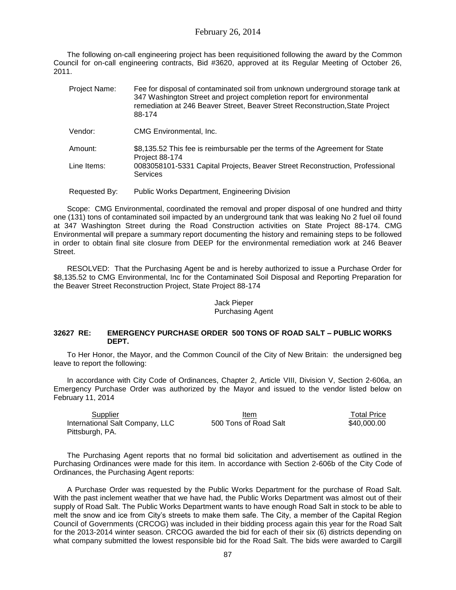The following on-call engineering project has been requisitioned following the award by the Common Council for on-call engineering contracts, Bid #3620, approved at its Regular Meeting of October 26, 2011.

| Project Name:          | Fee for disposal of contaminated soil from unknown underground storage tank at<br>347 Washington Street and project completion report for environmental<br>remediation at 246 Beaver Street, Beaver Street Reconstruction, State Project<br>88-174 |
|------------------------|----------------------------------------------------------------------------------------------------------------------------------------------------------------------------------------------------------------------------------------------------|
| Vendor:                | CMG Environmental, Inc.                                                                                                                                                                                                                            |
| Amount:<br>Line Items: | \$8,135.52 This fee is reimbursable per the terms of the Agreement for State<br>Project 88-174<br>0083058101-5331 Capital Projects, Beaver Street Reconstruction, Professional                                                                     |
|                        | <b>Services</b>                                                                                                                                                                                                                                    |
| Requested By:          | <b>Public Works Department, Engineering Division</b>                                                                                                                                                                                               |

Scope: CMG Environmental, coordinated the removal and proper disposal of one hundred and thirty one (131) tons of contaminated soil impacted by an underground tank that was leaking No 2 fuel oil found at 347 Washington Street during the Road Construction activities on State Project 88-174. CMG Environmental will prepare a summary report documenting the history and remaining steps to be followed in order to obtain final site closure from DEEP for the environmental remediation work at 246 Beaver Street.

RESOLVED: That the Purchasing Agent be and is hereby authorized to issue a Purchase Order for \$8,135.52 to CMG Environmental, Inc for the Contaminated Soil Disposal and Reporting Preparation for the Beaver Street Reconstruction Project, State Project 88-174

### Jack Pieper Purchasing Agent

### **32627 RE: EMERGENCY PURCHASE ORDER 500 TONS OF ROAD SALT – PUBLIC WORKS DEPT.**

To Her Honor, the Mayor, and the Common Council of the City of New Britain: the undersigned beg leave to report the following:

In accordance with City Code of Ordinances, Chapter 2, Article VIII, Division V, Section 2-606a, an Emergency Purchase Order was authorized by the Mayor and issued to the vendor listed below on February 11, 2014

| Supplier                        | Item                  | <b>Total Price</b> |
|---------------------------------|-----------------------|--------------------|
| International Salt Company, LLC | 500 Tons of Road Salt | \$40,000,00        |
| Pittsburgh, PA.                 |                       |                    |

The Purchasing Agent reports that no formal bid solicitation and advertisement as outlined in the Purchasing Ordinances were made for this item. In accordance with Section 2-606b of the City Code of Ordinances, the Purchasing Agent reports:

A Purchase Order was requested by the Public Works Department for the purchase of Road Salt. With the past inclement weather that we have had, the Public Works Department was almost out of their supply of Road Salt. The Public Works Department wants to have enough Road Salt in stock to be able to melt the snow and ice from City's streets to make them safe. The City, a member of the Capital Region Council of Governments (CRCOG) was included in their bidding process again this year for the Road Salt for the 2013-2014 winter season. CRCOG awarded the bid for each of their six (6) districts depending on what company submitted the lowest responsible bid for the Road Salt. The bids were awarded to Cargill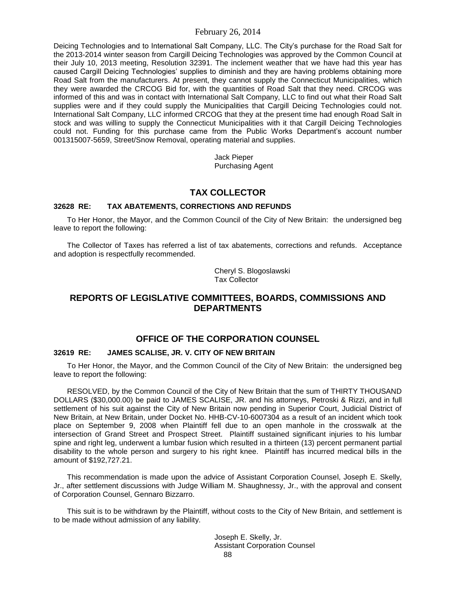Deicing Technologies and to International Salt Company, LLC. The City's purchase for the Road Salt for the 2013-2014 winter season from Cargill Deicing Technologies was approved by the Common Council at their July 10, 2013 meeting, Resolution 32391. The inclement weather that we have had this year has caused Cargill Deicing Technologies' supplies to diminish and they are having problems obtaining more Road Salt from the manufacturers. At present, they cannot supply the Connecticut Municipalities, which they were awarded the CRCOG Bid for, with the quantities of Road Salt that they need. CRCOG was informed of this and was in contact with International Salt Company, LLC to find out what their Road Salt supplies were and if they could supply the Municipalities that Cargill Deicing Technologies could not. International Salt Company, LLC informed CRCOG that they at the present time had enough Road Salt in stock and was willing to supply the Connecticut Municipalities with it that Cargill Deicing Technologies could not. Funding for this purchase came from the Public Works Department's account number 001315007-5659, Street/Snow Removal, operating material and supplies.

> Jack Pieper Purchasing Agent

# **TAX COLLECTOR**

# **32628 RE: TAX ABATEMENTS, CORRECTIONS AND REFUNDS**

To Her Honor, the Mayor, and the Common Council of the City of New Britain: the undersigned beg leave to report the following:

The Collector of Taxes has referred a list of tax abatements, corrections and refunds. Acceptance and adoption is respectfully recommended.

> Cheryl S. Blogoslawski Tax Collector

# **REPORTS OF LEGISLATIVE COMMITTEES, BOARDS, COMMISSIONS AND DEPARTMENTS**

# **OFFICE OF THE CORPORATION COUNSEL**

# **32619 RE: JAMES SCALISE, JR. V. CITY OF NEW BRITAIN**

To Her Honor, the Mayor, and the Common Council of the City of New Britain: the undersigned beg leave to report the following:

RESOLVED, by the Common Council of the City of New Britain that the sum of THIRTY THOUSAND DOLLARS (\$30,000.00) be paid to JAMES SCALISE, JR. and his attorneys, Petroski & Rizzi, and in full settlement of his suit against the City of New Britain now pending in Superior Court, Judicial District of New Britain, at New Britain, under Docket No. HHB-CV-10-6007304 as a result of an incident which took place on September 9, 2008 when Plaintiff fell due to an open manhole in the crosswalk at the intersection of Grand Street and Prospect Street. Plaintiff sustained significant injuries to his lumbar spine and right leg, underwent a lumbar fusion which resulted in a thirteen (13) percent permanent partial disability to the whole person and surgery to his right knee. Plaintiff has incurred medical bills in the amount of \$192,727.21.

This recommendation is made upon the advice of Assistant Corporation Counsel, Joseph E. Skelly, Jr., after settlement discussions with Judge William M. Shaughnessy, Jr., with the approval and consent of Corporation Counsel, Gennaro Bizzarro.

This suit is to be withdrawn by the Plaintiff, without costs to the City of New Britain, and settlement is to be made without admission of any liability.

> 88 Joseph E. Skelly, Jr. Assistant Corporation Counsel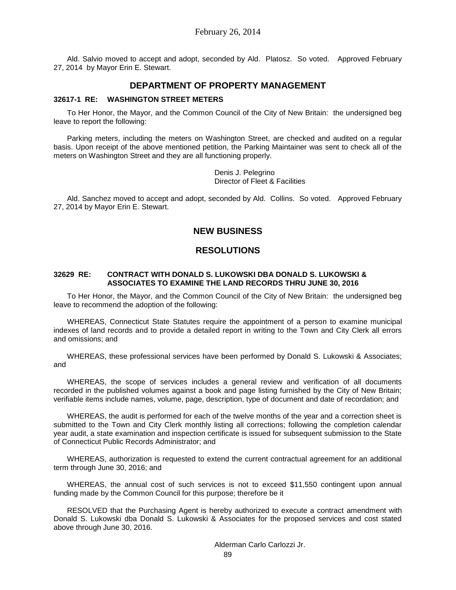Ald. Salvio moved to accept and adopt, seconded by Ald. Platosz. So voted. Approved February 27, 2014 by Mayor Erin E. Stewart.

# **DEPARTMENT OF PROPERTY MANAGEMENT**

### **32617-1 RE: WASHINGTON STREET METERS**

To Her Honor, the Mayor, and the Common Council of the City of New Britain: the undersigned beg leave to report the following:

Parking meters, including the meters on Washington Street, are checked and audited on a regular basis. Upon receipt of the above mentioned petition, the Parking Maintainer was sent to check all of the meters on Washington Street and they are all functioning properly.

> Denis J. Pelegrino Director of Fleet & Facilities

Ald. Sanchez moved to accept and adopt, seconded by Ald. Collins. So voted. Approved February 27, 2014 by Mayor Erin E. Stewart.

# **NEW BUSINESS**

# **RESOLUTIONS**

#### **32629 RE: CONTRACT WITH DONALD S. LUKOWSKI DBA DONALD S. LUKOWSKI & ASSOCIATES TO EXAMINE THE LAND RECORDS THRU JUNE 30, 2016**

To Her Honor, the Mayor, and the Common Council of the City of New Britain: the undersigned beg leave to recommend the adoption of the following:

WHEREAS, Connecticut State Statutes require the appointment of a person to examine municipal indexes of land records and to provide a detailed report in writing to the Town and City Clerk all errors and omissions; and

WHEREAS, these professional services have been performed by Donald S. Lukowski & Associates; and

WHEREAS, the scope of services includes a general review and verification of all documents recorded in the published volumes against a book and page listing furnished by the City of New Britain; verifiable items include names, volume, page, description, type of document and date of recordation; and

WHEREAS, the audit is performed for each of the twelve months of the year and a correction sheet is submitted to the Town and City Clerk monthly listing all corrections; following the completion calendar year audit, a state examination and inspection certificate is issued for subsequent submission to the State of Connecticut Public Records Administrator; and

WHEREAS, authorization is requested to extend the current contractual agreement for an additional term through June 30, 2016; and

WHEREAS, the annual cost of such services is not to exceed \$11,550 contingent upon annual funding made by the Common Council for this purpose; therefore be it

RESOLVED that the Purchasing Agent is hereby authorized to execute a contract amendment with Donald S. Lukowski dba Donald S. Lukowski & Associates for the proposed services and cost stated above through June 30, 2016.

Alderman Carlo Carlozzi Jr.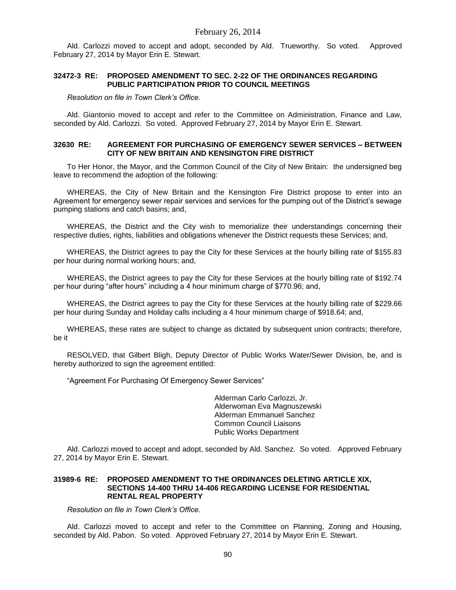Ald. Carlozzi moved to accept and adopt, seconded by Ald. Trueworthy. So voted. Approved February 27, 2014 by Mayor Erin E. Stewart.

#### **32472-3 RE: PROPOSED AMENDMENT TO SEC. 2-22 OF THE ORDINANCES REGARDING PUBLIC PARTICIPATION PRIOR TO COUNCIL MEETINGS**

*Resolution on file in Town Clerk's Office.*

Ald. Giantonio moved to accept and refer to the Committee on Administration, Finance and Law, seconded by Ald. Carlozzi. So voted. Approved February 27, 2014 by Mayor Erin E. Stewart.

#### **32630 RE: AGREEMENT FOR PURCHASING OF EMERGENCY SEWER SERVICES – BETWEEN CITY OF NEW BRITAIN AND KENSINGTON FIRE DISTRICT**

To Her Honor, the Mayor, and the Common Council of the City of New Britain: the undersigned beg leave to recommend the adoption of the following:

WHEREAS, the City of New Britain and the Kensington Fire District propose to enter into an Agreement for emergency sewer repair services and services for the pumping out of the District's sewage pumping stations and catch basins; and,

WHEREAS, the District and the City wish to memorialize their understandings concerning their respective duties, rights, liabilities and obligations whenever the District requests these Services; and,

WHEREAS, the District agrees to pay the City for these Services at the hourly billing rate of \$155.83 per hour during normal working hours; and,

WHEREAS, the District agrees to pay the City for these Services at the hourly billing rate of \$192.74 per hour during "after hours" including a 4 hour minimum charge of \$770.96; and,

WHEREAS, the District agrees to pay the City for these Services at the hourly billing rate of \$229.66 per hour during Sunday and Holiday calls including a 4 hour minimum charge of \$918.64; and,

WHEREAS, these rates are subject to change as dictated by subsequent union contracts; therefore, be it

RESOLVED, that Gilbert Bligh, Deputy Director of Public Works Water/Sewer Division, be, and is hereby authorized to sign the agreement entitled:

"Agreement For Purchasing Of Emergency Sewer Services"

Alderman Carlo Carlozzi, Jr. Alderwoman Eva Magnuszewski Alderman Emmanuel Sanchez Common Council Liaisons Public Works Department

Ald. Carlozzi moved to accept and adopt, seconded by Ald. Sanchez. So voted. Approved February 27, 2014 by Mayor Erin E. Stewart.

#### **31989-6 RE: PROPOSED AMENDMENT TO THE ORDINANCES DELETING ARTICLE XIX, SECTIONS 14-400 THRU 14-406 REGARDING LICENSE FOR RESIDENTIAL RENTAL REAL PROPERTY**

*Resolution on file in Town Clerk's Office.*

Ald. Carlozzi moved to accept and refer to the Committee on Planning, Zoning and Housing, seconded by Ald. Pabon. So voted. Approved February 27, 2014 by Mayor Erin E. Stewart.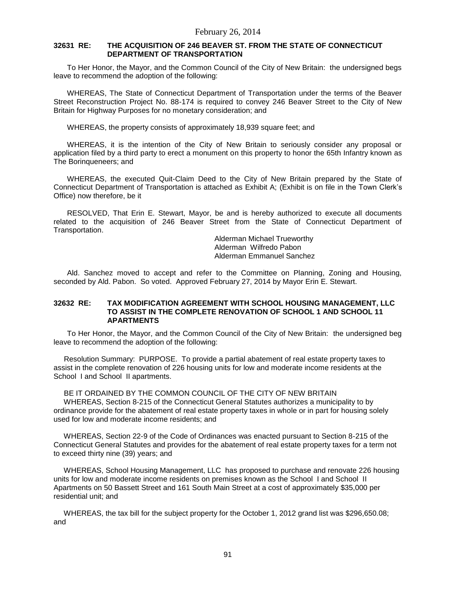### **32631 RE: THE ACQUISITION OF 246 BEAVER ST. FROM THE STATE OF CONNECTICUT DEPARTMENT OF TRANSPORTATION**

To Her Honor, the Mayor, and the Common Council of the City of New Britain: the undersigned begs leave to recommend the adoption of the following:

WHEREAS, The State of Connecticut Department of Transportation under the terms of the Beaver Street Reconstruction Project No. 88-174 is required to convey 246 Beaver Street to the City of New Britain for Highway Purposes for no monetary consideration; and

WHEREAS, the property consists of approximately 18,939 square feet; and

WHEREAS, it is the intention of the City of New Britain to seriously consider any proposal or application filed by a third party to erect a monument on this property to honor the 65th Infantry known as The Borinqueneers; and

WHEREAS, the executed Quit-Claim Deed to the City of New Britain prepared by the State of Connecticut Department of Transportation is attached as Exhibit A; (Exhibit is on file in the Town Clerk's Office) now therefore, be it

RESOLVED, That Erin E. Stewart, Mayor, be and is hereby authorized to execute all documents related to the acquisition of 246 Beaver Street from the State of Connecticut Department of Transportation.

> Alderman Michael Trueworthy Alderman Wilfredo Pabon Alderman Emmanuel Sanchez

Ald. Sanchez moved to accept and refer to the Committee on Planning, Zoning and Housing, seconded by Ald. Pabon. So voted. Approved February 27, 2014 by Mayor Erin E. Stewart.

### **32632 RE: TAX MODIFICATION AGREEMENT WITH SCHOOL HOUSING MANAGEMENT, LLC TO ASSIST IN THE COMPLETE RENOVATION OF SCHOOL 1 AND SCHOOL 11 APARTMENTS**

To Her Honor, the Mayor, and the Common Council of the City of New Britain: the undersigned beg leave to recommend the adoption of the following:

 Resolution Summary: PURPOSE. To provide a partial abatement of real estate property taxes to assist in the complete renovation of 226 housing units for low and moderate income residents at the School I and School II apartments.

 BE IT ORDAINED BY THE COMMON COUNCIL OF THE CITY OF NEW BRITAIN WHEREAS, Section 8-215 of the Connecticut General Statutes authorizes a municipality to by ordinance provide for the abatement of real estate property taxes in whole or in part for housing solely used for low and moderate income residents; and

 WHEREAS, Section 22-9 of the Code of Ordinances was enacted pursuant to Section 8-215 of the Connecticut General Statutes and provides for the abatement of real estate property taxes for a term not to exceed thirty nine (39) years; and

 WHEREAS, School Housing Management, LLC has proposed to purchase and renovate 226 housing units for low and moderate income residents on premises known as the School I and School II Apartments on 50 Bassett Street and 161 South Main Street at a cost of approximately \$35,000 per residential unit; and

 WHEREAS, the tax bill for the subject property for the October 1, 2012 grand list was \$296,650.08; and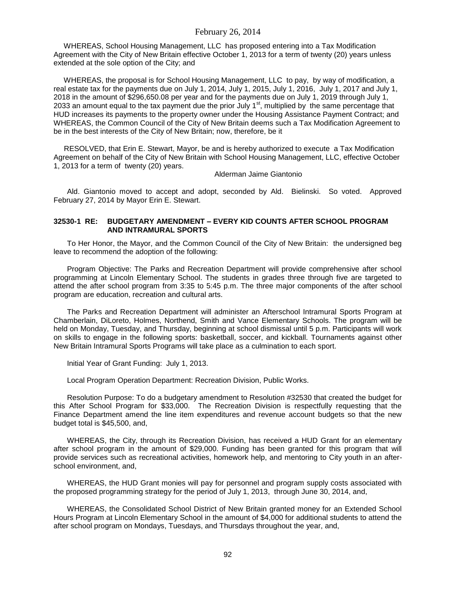WHEREAS, School Housing Management, LLC has proposed entering into a Tax Modification Agreement with the City of New Britain effective October 1, 2013 for a term of twenty (20) years unless extended at the sole option of the City; and

 WHEREAS, the proposal is for School Housing Management, LLC to pay, by way of modification, a real estate tax for the payments due on July 1, 2014, July 1, 2015, July 1, 2016, July 1, 2017 and July 1, 2018 in the amount of \$296,650.08 per year and for the payments due on July 1, 2019 through July 1, 2033 an amount equal to the tax payment due the prior July 1<sup>st</sup>, multiplied by the same percentage that HUD increases its payments to the property owner under the Housing Assistance Payment Contract; and WHEREAS, the Common Council of the City of New Britain deems such a Tax Modification Agreement to be in the best interests of the City of New Britain; now, therefore, be it

 RESOLVED, that Erin E. Stewart, Mayor, be and is hereby authorized to execute a Tax Modification Agreement on behalf of the City of New Britain with School Housing Management, LLC, effective October 1, 2013 for a term of twenty (20) years.

Alderman Jaime Giantonio

Ald. Giantonio moved to accept and adopt, seconded by Ald. Bielinski. So voted. Approved February 27, 2014 by Mayor Erin E. Stewart.

### **32530-1 RE: BUDGETARY AMENDMENT – EVERY KID COUNTS AFTER SCHOOL PROGRAM AND INTRAMURAL SPORTS**

To Her Honor, the Mayor, and the Common Council of the City of New Britain: the undersigned beg leave to recommend the adoption of the following:

Program Objective: The Parks and Recreation Department will provide comprehensive after school programming at Lincoln Elementary School. The students in grades three through five are targeted to attend the after school program from 3:35 to 5:45 p.m. The three major components of the after school program are education, recreation and cultural arts.

The Parks and Recreation Department will administer an Afterschool Intramural Sports Program at Chamberlain, DiLoreto, Holmes, Northend, Smith and Vance Elementary Schools. The program will be held on Monday, Tuesday, and Thursday, beginning at school dismissal until 5 p.m. Participants will work on skills to engage in the following sports: basketball, soccer, and kickball. Tournaments against other New Britain Intramural Sports Programs will take place as a culmination to each sport.

Initial Year of Grant Funding: July 1, 2013.

Local Program Operation Department: Recreation Division, Public Works.

Resolution Purpose: To do a budgetary amendment to Resolution #32530 that created the budget for this After School Program for \$33,000. The Recreation Division is respectfully requesting that the Finance Department amend the line item expenditures and revenue account budgets so that the new budget total is \$45,500, and,

WHEREAS, the City, through its Recreation Division, has received a HUD Grant for an elementary after school program in the amount of \$29,000. Funding has been granted for this program that will provide services such as recreational activities, homework help, and mentoring to City youth in an afterschool environment, and,

WHEREAS, the HUD Grant monies will pay for personnel and program supply costs associated with the proposed programming strategy for the period of July 1, 2013, through June 30, 2014, and,

WHEREAS, the Consolidated School District of New Britain granted money for an Extended School Hours Program at Lincoln Elementary School in the amount of \$4,000 for additional students to attend the after school program on Mondays, Tuesdays, and Thursdays throughout the year, and,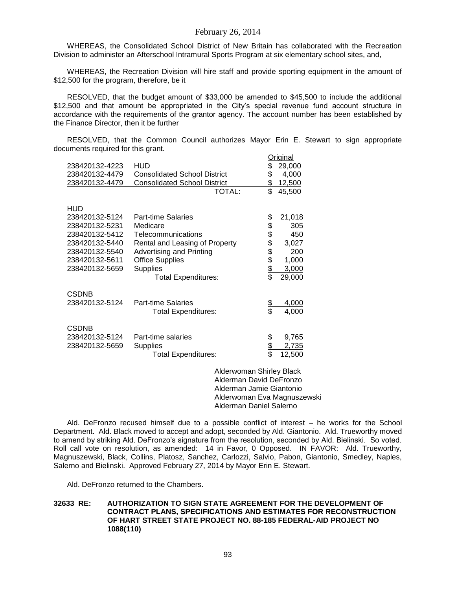WHEREAS, the Consolidated School District of New Britain has collaborated with the Recreation Division to administer an Afterschool Intramural Sports Program at six elementary school sites, and,

WHEREAS, the Recreation Division will hire staff and provide sporting equipment in the amount of \$12,500 for the program, therefore, be it

RESOLVED, that the budget amount of \$33,000 be amended to \$45,500 to include the additional \$12,500 and that amount be appropriated in the City's special revenue fund account structure in accordance with the requirements of the grantor agency. The account number has been established by the Finance Director, then it be further

RESOLVED, that the Common Council authorizes Mayor Erin E. Stewart to sign appropriate documents required for this grant.

|                |                                     |                | <u>Original</u> |
|----------------|-------------------------------------|----------------|-----------------|
| 238420132-4223 | HUD                                 | \$             | 29,000          |
| 238420132-4479 | <b>Consolidated School District</b> | \$             | 4,000           |
| 238420132-4479 | <b>Consolidated School District</b> | \$             | 12,500          |
|                | TOTAL:                              | \$             | 45,500          |
|                |                                     |                |                 |
| <b>HUD</b>     |                                     |                |                 |
| 238420132-5124 | <b>Part-time Salaries</b>           | \$             | 21,018          |
| 238420132-5231 | Medicare                            | \$             | 305             |
| 238420132-5412 | Telecommunications                  | \$             | 450             |
| 238420132-5440 | Rental and Leasing of Property      | \$             | 3,027           |
| 238420132-5540 | Advertising and Printing            | \$             | 200             |
| 238420132-5611 | <b>Office Supplies</b>              | \$             | 1,000           |
| 238420132-5659 | <b>Supplies</b>                     |                | 3,000           |
|                | <b>Total Expenditures:</b>          | \$             | 29,000          |
|                |                                     |                |                 |
| <b>CSDNB</b>   |                                     |                |                 |
| 238420132-5124 | <b>Part-time Salaries</b>           |                | 4,000           |
|                | <b>Total Expenditures:</b>          | <u>يو</u><br>چ | 4,000           |
|                |                                     |                |                 |
| <b>CSDNB</b>   |                                     |                |                 |
| 238420132-5124 | Part-time salaries                  | \$             | 9,765           |
| 238420132-5659 | <b>Supplies</b>                     |                | 2,735           |
|                | <b>Total Expenditures:</b>          | $\frac{6}{3}$  | 12,500          |
|                |                                     |                |                 |
|                |                                     |                |                 |

Alderwoman Shirley Black Alderman David DeFronzo Alderman Jamie Giantonio Alderwoman Eva Magnuszewski Alderman Daniel Salerno

Ald. DeFronzo recused himself due to a possible conflict of interest – he works for the School Department. Ald. Black moved to accept and adopt, seconded by Ald. Giantonio. Ald. Trueworthy moved to amend by striking Ald. DeFronzo's signature from the resolution, seconded by Ald. Bielinski. So voted. Roll call vote on resolution, as amended: 14 in Favor, 0 Opposed. IN FAVOR: Ald. Trueworthy, Magnuszewski, Black, Collins, Platosz, Sanchez, Carlozzi, Salvio, Pabon, Giantonio, Smedley, Naples, Salerno and Bielinski. Approved February 27, 2014 by Mayor Erin E. Stewart.

Ald. DeFronzo returned to the Chambers.

### **32633 RE: AUTHORIZATION TO SIGN STATE AGREEMENT FOR THE DEVELOPMENT OF CONTRACT PLANS, SPECIFICATIONS AND ESTIMATES FOR RECONSTRUCTION OF HART STREET STATE PROJECT NO. 88-185 FEDERAL-AID PROJECT NO 1088(110)**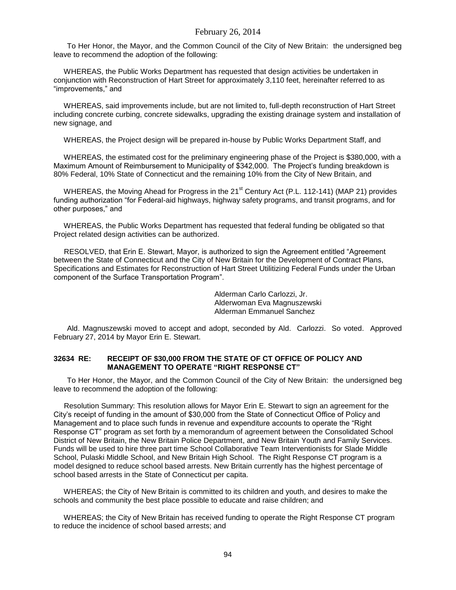To Her Honor, the Mayor, and the Common Council of the City of New Britain: the undersigned beg leave to recommend the adoption of the following:

 WHEREAS, the Public Works Department has requested that design activities be undertaken in conjunction with Reconstruction of Hart Street for approximately 3,110 feet, hereinafter referred to as "improvements," and

 WHEREAS, said improvements include, but are not limited to, full-depth reconstruction of Hart Street including concrete curbing, concrete sidewalks, upgrading the existing drainage system and installation of new signage, and

WHEREAS, the Project design will be prepared in-house by Public Works Department Staff, and

 WHEREAS, the estimated cost for the preliminary engineering phase of the Project is \$380,000, with a Maximum Amount of Reimbursement to Municipality of \$342,000. The Project's funding breakdown is 80% Federal, 10% State of Connecticut and the remaining 10% from the City of New Britain, and

WHEREAS, the Moving Ahead for Progress in the 21<sup>st</sup> Century Act (P.L. 112-141) (MAP 21) provides funding authorization "for Federal-aid highways, highway safety programs, and transit programs, and for other purposes," and

 WHEREAS, the Public Works Department has requested that federal funding be obligated so that Project related design activities can be authorized.

 RESOLVED, that Erin E. Stewart, Mayor, is authorized to sign the Agreement entitled "Agreement between the State of Connecticut and the City of New Britain for the Development of Contract Plans, Specifications and Estimates for Reconstruction of Hart Street Utilitizing Federal Funds under the Urban component of the Surface Transportation Program".

> Alderman Carlo Carlozzi, Jr. Alderwoman Eva Magnuszewski Alderman Emmanuel Sanchez

Ald. Magnuszewski moved to accept and adopt, seconded by Ald. Carlozzi. So voted. Approved February 27, 2014 by Mayor Erin E. Stewart.

#### **32634 RE: RECEIPT OF \$30,000 FROM THE STATE OF CT OFFICE OF POLICY AND MANAGEMENT TO OPERATE "RIGHT RESPONSE CT"**

To Her Honor, the Mayor, and the Common Council of the City of New Britain: the undersigned beg leave to recommend the adoption of the following:

 Resolution Summary: This resolution allows for Mayor Erin E. Stewart to sign an agreement for the City's receipt of funding in the amount of \$30,000 from the State of Connecticut Office of Policy and Management and to place such funds in revenue and expenditure accounts to operate the "Right Response CT" program as set forth by a memorandum of agreement between the Consolidated School District of New Britain, the New Britain Police Department, and New Britain Youth and Family Services. Funds will be used to hire three part time School Collaborative Team Interventionists for Slade Middle School, Pulaski Middle School, and New Britain High School. The Right Response CT program is a model designed to reduce school based arrests. New Britain currently has the highest percentage of school based arrests in the State of Connecticut per capita.

 WHEREAS; the City of New Britain is committed to its children and youth, and desires to make the schools and community the best place possible to educate and raise children; and

 WHEREAS; the City of New Britain has received funding to operate the Right Response CT program to reduce the incidence of school based arrests; and